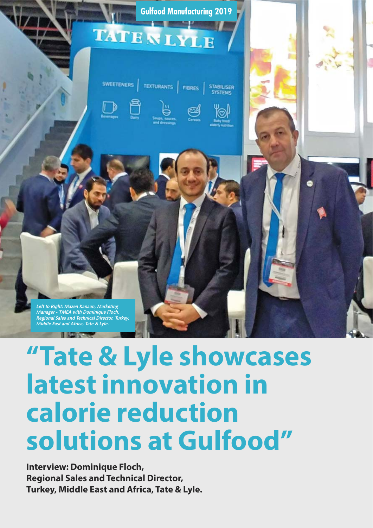

# **"Tate & Lyle showcases latest innovation in calorie reduction solutions at Gulfood"**

**Interview: Dominique Floch, Regional Sales and Technical Director, Turkey, Middle East and Africa, Tate & Lyle.**